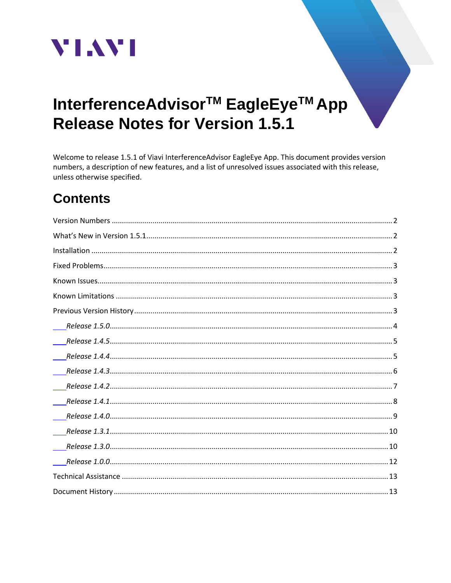

# InterferenceAdvisor<sup>™</sup> EagleEye<sup>™</sup> App **Release Notes for Version 1.5.1**

Welcome to release 1.5.1 of Viavi InterferenceAdvisor EagleEye App. This document provides version numbers, a description of new features, and a list of unresolved issues associated with this release, unless otherwise specified.

## **Contents**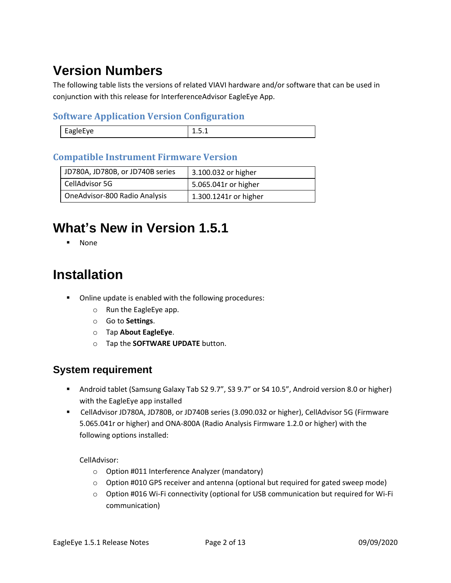# <span id="page-1-0"></span>**Version Numbers**

The following table lists the versions of related VIAVI hardware and/or software that can be used in conjunction with this release for InterferenceAdvisor EagleEye App.

#### **Software Application Version Configuration**

| - - - - - |
|-----------|

#### **Compatible Instrument Firmware Version**

| JD780A, JD780B, or JD740B series | 3.100.032 or higher   |
|----------------------------------|-----------------------|
| CellAdvisor 5G                   | 5.065.041r or higher  |
| OneAdvisor-800 Radio Analysis    | 1.300.1241r or higher |

## <span id="page-1-1"></span>**What's New in Version 1.5.1**

▪ None

## <span id="page-1-2"></span>**Installation**

- Online update is enabled with the following procedures:
	- o Run the EagleEye app.
	- o Go to **Settings**.
	- o Tap **About EagleEye**.
	- o Tap the **SOFTWARE UPDATE** button.

#### **System requirement**

- Android tablet (Samsung Galaxy Tab S2 9.7", S3 9.7" or S4 10.5", Android version 8.0 or higher) with the EagleEye app installed
- CellAdvisor JD780A, JD780B, or JD740B series (3.090.032 or higher), CellAdvisor 5G (Firmware 5.065.041r or higher) and ONA-800A (Radio Analysis Firmware 1.2.0 or higher) with the following options installed:

CellAdvisor:

- o Option #011 Interference Analyzer (mandatory)
- $\circ$  Option #010 GPS receiver and antenna (optional but required for gated sweep mode)
- o Option #016 Wi-Fi connectivity (optional for USB communication but required for Wi-Fi communication)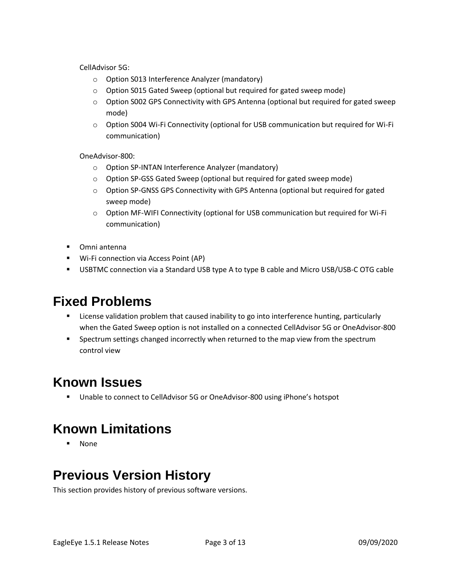CellAdvisor 5G:

- o Option S013 Interference Analyzer (mandatory)
- o Option S015 Gated Sweep (optional but required for gated sweep mode)
- $\circ$  Option S002 GPS Connectivity with GPS Antenna (optional but required for gated sweep mode)
- o Option S004 Wi-Fi Connectivity (optional for USB communication but required for Wi-Fi communication)

OneAdvisor-800:

- o Option SP-INTAN Interference Analyzer (mandatory)
- o Option SP-GSS Gated Sweep (optional but required for gated sweep mode)
- $\circ$  Option SP-GNSS GPS Connectivity with GPS Antenna (optional but required for gated sweep mode)
- o Option MF-WIFI Connectivity (optional for USB communication but required for Wi-Fi communication)
- Omni antenna
- Wi-Fi connection via Access Point (AP)
- USBTMC connection via a Standard USB type A to type B cable and Micro USB/USB-C OTG cable

## <span id="page-2-0"></span>**Fixed Problems**

- License validation problem that caused inability to go into interference hunting, particularly when the Gated Sweep option is not installed on a connected CellAdvisor 5G or OneAdvisor-800
- **•** Spectrum settings changed incorrectly when returned to the map view from the spectrum control view

### <span id="page-2-1"></span>**Known Issues**

■ Unable to connect to CellAdvisor 5G or OneAdvisor-800 using iPhone's hotspot

## <span id="page-2-2"></span>**Known Limitations**

▪ None

## <span id="page-2-3"></span>**Previous Version History**

This section provides history of previous software versions.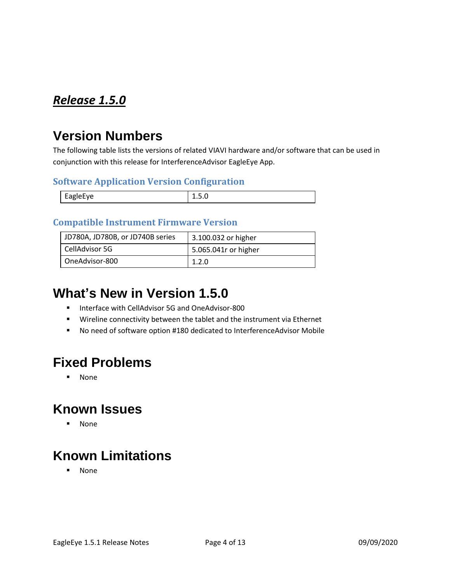## <span id="page-3-0"></span>*Release 1.5.0*

### **Version Numbers**

The following table lists the versions of related VIAVI hardware and/or software that can be used in conjunction with this release for InterferenceAdvisor EagleEye App.

#### **Software Application Version Configuration**

| <b>FagleFve</b><br>---- | -⊷ |
|-------------------------|----|

#### **Compatible Instrument Firmware Version**

| JD780A, JD780B, or JD740B series | 3.100.032 or higher  |
|----------------------------------|----------------------|
| CellAdvisor 5G                   | 5.065.041r or higher |
| OneAdvisor-800                   | 1.2.0                |

## **What's New in Version 1.5.0**

- Interface with CellAdvisor 5G and OneAdvisor-800
- Wireline connectivity between the tablet and the instrument via Ethernet
- No need of software option #180 dedicated to InterferenceAdvisor Mobile

## **Fixed Problems**

▪ None

### **Known Issues**

▪ None

## **Known Limitations**

▪ None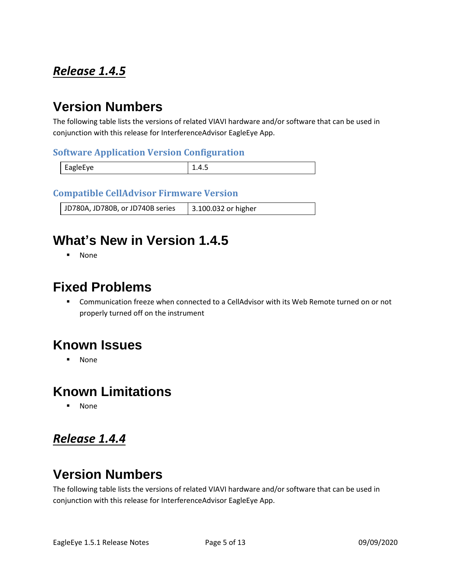### <span id="page-4-0"></span>*Release 1.4.5*

### **Version Numbers**

The following table lists the versions of related VIAVI hardware and/or software that can be used in conjunction with this release for InterferenceAdvisor EagleEye App.

#### **Software Application Version Configuration**

| EagleEye | ∸.⊤.J |
|----------|-------|

#### **Compatible CellAdvisor Firmware Version**

JD780A, JD780B, or JD740B series | 3.100.032 or higher

## **What's New in Version 1.4.5**

▪ None

#### **Fixed Problems**

■ Communication freeze when connected to a CellAdvisor with its Web Remote turned on or not properly turned off on the instrument

### **Known Issues**

▪ None

#### **Known Limitations**

**None** 

#### <span id="page-4-1"></span>*Release 1.4.4*

## **Version Numbers**

The following table lists the versions of related VIAVI hardware and/or software that can be used in conjunction with this release for InterferenceAdvisor EagleEye App.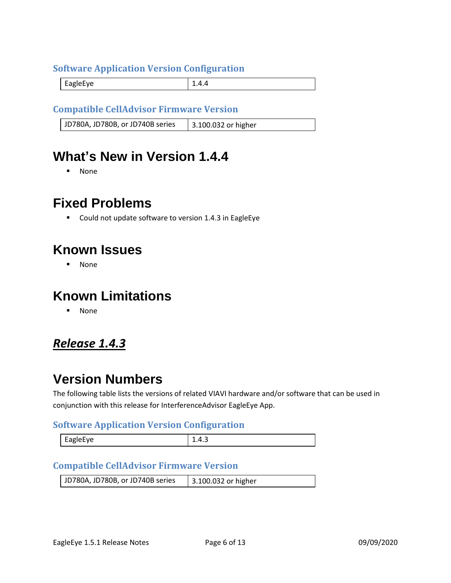#### **Software Application Version Configuration**

EagleEye 2.4.4

#### **Compatible CellAdvisor Firmware Version**

JD780A, JD780B, or JD740B series | 3.100.032 or higher

### **What's New in Version 1.4.4**

▪ None

#### **Fixed Problems**

■ Could not update software to version 1.4.3 in EagleEye

#### **Known Issues**

▪ None

#### **Known Limitations**

▪ None

#### <span id="page-5-0"></span>*Release 1.4.3*

### **Version Numbers**

The following table lists the versions of related VIAVI hardware and/or software that can be used in conjunction with this release for InterferenceAdvisor EagleEye App.

#### **Software Application Version Configuration**

| $\cdot$ agiel-ve<br>יס~– | ∸.−. |
|--------------------------|------|
|--------------------------|------|

#### **Compatible CellAdvisor Firmware Version**

| JD780A, JD780B, or JD740B series | 3.100.032 or higher |
|----------------------------------|---------------------|
|                                  |                     |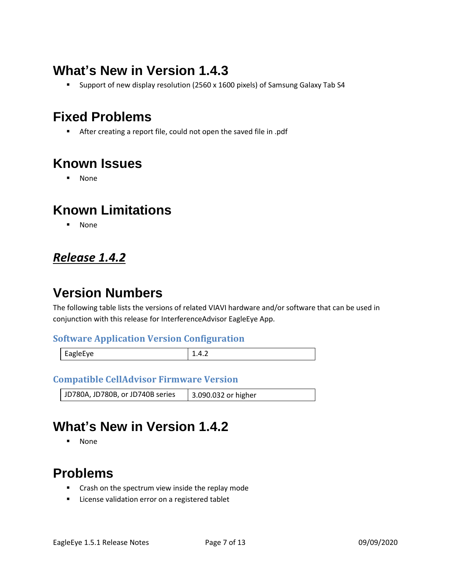## **What's New in Version 1.4.3**

■ Support of new display resolution (2560 x 1600 pixels) of Samsung Galaxy Tab S4

## **Fixed Problems**

■ After creating a report file, could not open the saved file in .pdf

## **Known Issues**

▪ None

### **Known Limitations**

▪ None

### <span id="page-6-0"></span>*Release 1.4.2*

## **Version Numbers**

The following table lists the versions of related VIAVI hardware and/or software that can be used in conjunction with this release for InterferenceAdvisor EagleEye App.

#### **Software Application Version Configuration**

| EagleEye | $\cdots$ |
|----------|----------|
|          |          |

#### **Compatible CellAdvisor Firmware Version**

JD780A, JD780B, or JD740B series | 3.090.032 or higher

## **What's New in Version 1.4.2**

▪ None

## **Problems**

- Crash on the spectrum view inside the replay mode
- License validation error on a registered tablet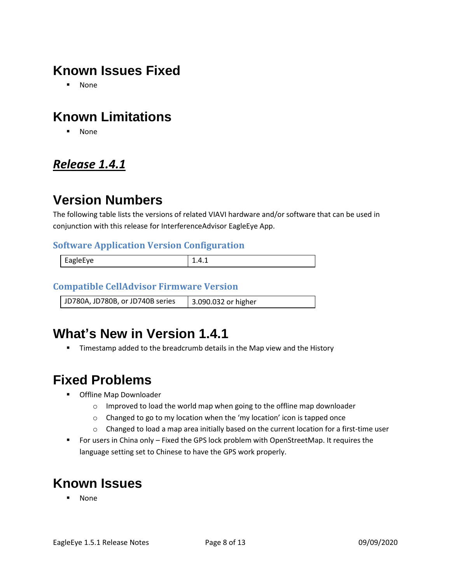## **Known Issues Fixed**

▪ None

## **Known Limitations**

▪ None

#### <span id="page-7-0"></span>*Release 1.4.1*

## **Version Numbers**

The following table lists the versions of related VIAVI hardware and/or software that can be used in conjunction with this release for InterferenceAdvisor EagleEye App.

#### **Software Application Version Configuration**

| $\overline{ }$<br>.<br>н.<br><b>AUIPFVE</b><br>-- | ---- |
|---------------------------------------------------|------|
|                                                   |      |

#### **Compatible CellAdvisor Firmware Version**

JD780A, JD780B, or JD740B series 3.090.032 or higher

## **What's New in Version 1.4.1**

**■** Timestamp added to the breadcrumb details in the Map view and the History

## **Fixed Problems**

- Offline Map Downloader
	- o Improved to load the world map when going to the offline map downloader
	- o Changed to go to my location when the 'my location' icon is tapped once
	- $\circ$  Changed to load a map area initially based on the current location for a first-time user
- For users in China only Fixed the GPS lock problem with OpenStreetMap. It requires the language setting set to Chinese to have the GPS work properly.

## **Known Issues**

**None**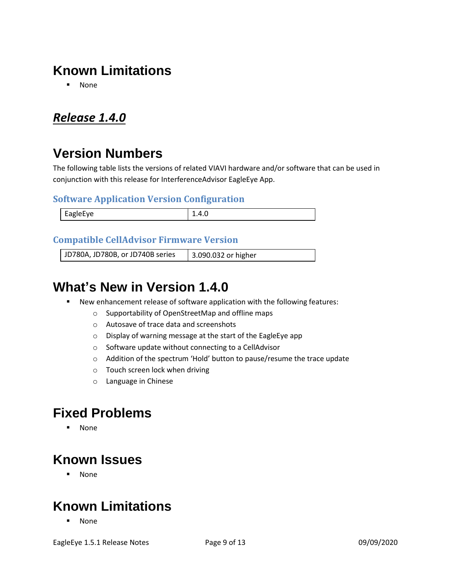## **Known Limitations**

▪ None

### <span id="page-8-0"></span>*Release 1.4.0*

## **Version Numbers**

The following table lists the versions of related VIAVI hardware and/or software that can be used in conjunction with this release for InterferenceAdvisor EagleEye App.

#### **Software Application Version Configuration**

| ASIALVA. |  |
|----------|--|

#### **Compatible CellAdvisor Firmware Version**

JD780A, JD780B, or JD740B series 3.090.032 or higher

### **What's New in Version 1.4.0**

- New enhancement release of software application with the following features:
	- o Supportability of OpenStreetMap and offline maps
	- o Autosave of trace data and screenshots
	- o Display of warning message at the start of the EagleEye app
	- o Software update without connecting to a CellAdvisor
	- o Addition of the spectrum 'Hold' button to pause/resume the trace update
	- o Touch screen lock when driving
	- o Language in Chinese

### **Fixed Problems**

▪ None

### **Known Issues**

▪ None

### **Known Limitations**

▪ None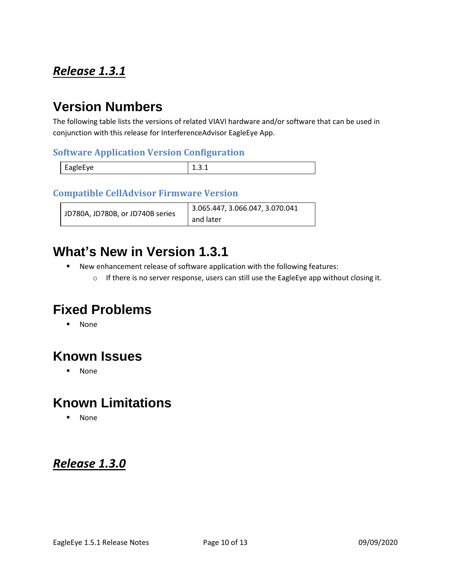### <span id="page-9-0"></span>*Release 1.3.1*

### **Version Numbers**

The following table lists the versions of related VIAVI hardware and/or software that can be used in conjunction with this release for InterferenceAdvisor EagleEye App.

#### **Software Application Version Configuration**

|          | - |
|----------|---|
| EagleEye |   |

#### **Compatible CellAdvisor Firmware Version**

| JD780A, JD780B, or JD740B series | $\vert$ 3.065.447, 3.066.047, 3.070.041 |
|----------------------------------|-----------------------------------------|
|                                  | and later                               |

#### **What's New in Version 1.3.1**

- New enhancement release of software application with the following features:
	- o If there is no server response, users can still use the EagleEye app without closing it.

## **Fixed Problems**

▪ None

## **Known Issues**

▪ None

## **Known Limitations**

▪ None

#### <span id="page-9-1"></span>*Release 1.3.0*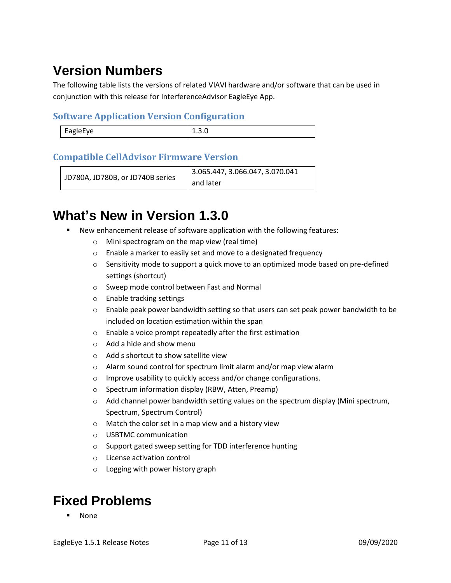# **Version Numbers**

The following table lists the versions of related VIAVI hardware and/or software that can be used in conjunction with this release for InterferenceAdvisor EagleEye App.

#### **Software Application Version Configuration**

| <b>FagleFve</b><br><br>. |  |
|--------------------------|--|
|                          |  |

#### **Compatible CellAdvisor Firmware Version**

```
JD780A, JD780B, or JD740B series
                         3.065.447, 3.066.047, 3.070.041 
                         and later
```
## **What's New in Version 1.3.0**

- New enhancement release of software application with the following features:
	- o Mini spectrogram on the map view (real time)
	- o Enable a marker to easily set and move to a designated frequency
	- $\circ$  Sensitivity mode to support a quick move to an optimized mode based on pre-defined settings (shortcut)
	- o Sweep mode control between Fast and Normal
	- o Enable tracking settings
	- $\circ$  Enable peak power bandwidth setting so that users can set peak power bandwidth to be included on location estimation within the span
	- o Enable a voice prompt repeatedly after the first estimation
	- o Add a hide and show menu
	- o Add s shortcut to show satellite view
	- o Alarm sound control for spectrum limit alarm and/or map view alarm
	- o Improve usability to quickly access and/or change configurations.
	- o Spectrum information display (RBW, Atten, Preamp)
	- $\circ$  Add channel power bandwidth setting values on the spectrum display (Mini spectrum, Spectrum, Spectrum Control)
	- o Match the color set in a map view and a history view
	- o USBTMC communication
	- o Support gated sweep setting for TDD interference hunting
	- o License activation control
	- o Logging with power history graph

## **Fixed Problems**

**None**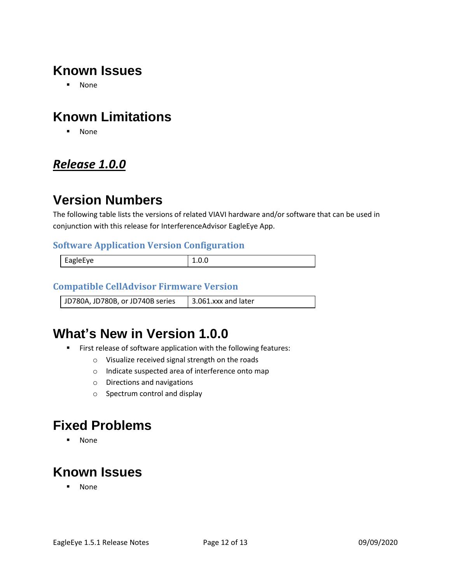## **Known Issues**

▪ None

## **Known Limitations**

▪ None

### <span id="page-11-0"></span>*Release 1.0.0*

### **Version Numbers**

The following table lists the versions of related VIAVI hardware and/or software that can be used in conjunction with this release for InterferenceAdvisor EagleEye App.

#### **Software Application Version Configuration**

| EagleEye |  |
|----------|--|
|          |  |

#### **Compatible CellAdvisor Firmware Version**

JD780A, JD780B, or JD740B series  $\parallel$  3.061.xxx and later

## **What's New in Version 1.0.0**

- First release of software application with the following features:
	- o Visualize received signal strength on the roads
	- o Indicate suspected area of interference onto map
	- o Directions and navigations
	- o Spectrum control and display

### **Fixed Problems**

▪ None

## **Known Issues**

▪ None